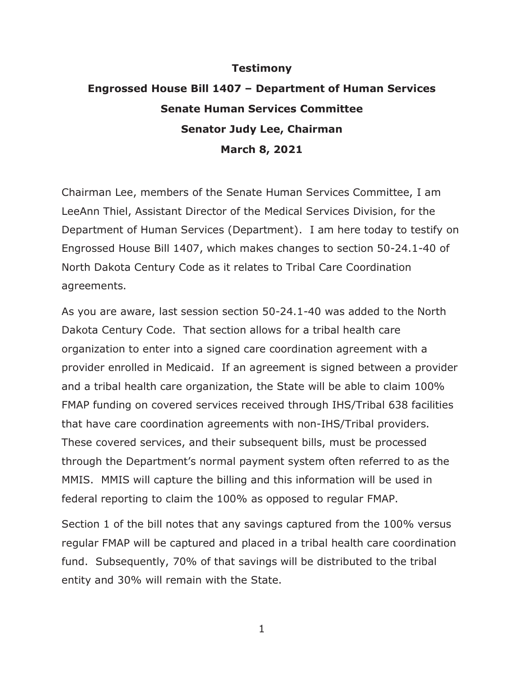## **Testimony**

## **Engrossed House Bill 1407 – Department of Human Services Senate Human Services Committee Senator Judy Lee, Chairman March 8, 2021**

Chairman Lee, members of the Senate Human Services Committee, I am LeeAnn Thiel, Assistant Director of the Medical Services Division, for the Department of Human Services (Department). I am here today to testify on Engrossed House Bill 1407, which makes changes to section 50-24.1-40 of North Dakota Century Code as it relates to Tribal Care Coordination agreements.

As you are aware, last session section 50-24.1-40 was added to the North Dakota Century Code. That section allows for a tribal health care organization to enter into a signed care coordination agreement with a provider enrolled in Medicaid. If an agreement is signed between a provider and a tribal health care organization, the State will be able to claim 100% FMAP funding on covered services received through IHS/Tribal 638 facilities that have care coordination agreements with non-IHS/Tribal providers. These covered services, and their subsequent bills, must be processed through the Department's normal payment system often referred to as the MMIS. MMIS will capture the billing and this information will be used in federal reporting to claim the 100% as opposed to regular FMAP.

Section 1 of the bill notes that any savings captured from the 100% versus regular FMAP will be captured and placed in a tribal health care coordination fund. Subsequently, 70% of that savings will be distributed to the tribal entity and 30% will remain with the State.

1